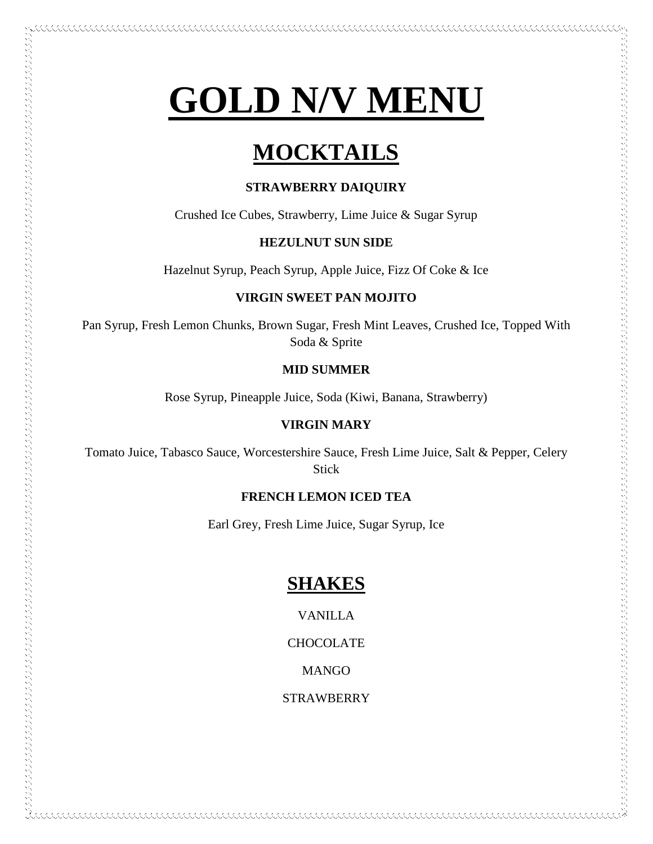# **GOLD N/V MENU**

# **MOCKTAILS**

#### **STRAWBERRY DAIQUIRY**

Crushed Ice Cubes, Strawberry, Lime Juice & Sugar Syrup

#### **HEZULNUT SUN SIDE**

Hazelnut Syrup, Peach Syrup, Apple Juice, Fizz Of Coke & Ice

#### **VIRGIN SWEET PAN MOJITO**

Pan Syrup, Fresh Lemon Chunks, Brown Sugar, Fresh Mint Leaves, Crushed Ice, Topped With Soda & Sprite

#### **MID SUMMER**

Rose Syrup, Pineapple Juice, Soda (Kiwi, Banana, Strawberry)

#### **VIRGIN MARY**

うちのう かんしょう しょうしょう しょうしょう しょうしょう しょうしょう しゅうしょう しゅうしょう しょうしょう しょうしょう しょうしょう しょうしょう しょうしょう しょうしょう しょうしょう しょうしょう しょうしょう しょうしょう しょうしょう しょうしょう しょうしょう しょうしょう しょうしょう しょうしょう しょうしょう しょうしょう しょうしょうしょ

Tomato Juice, Tabasco Sauce, Worcestershire Sauce, Fresh Lime Juice, Salt & Pepper, Celery Stick

#### **FRENCH LEMON ICED TEA**

Earl Grey, Fresh Lime Juice, Sugar Syrup, Ice

### **SHAKES**

VANILLA

**CHOCOLATE** 

**MANGO** 

**STRAWBERRY**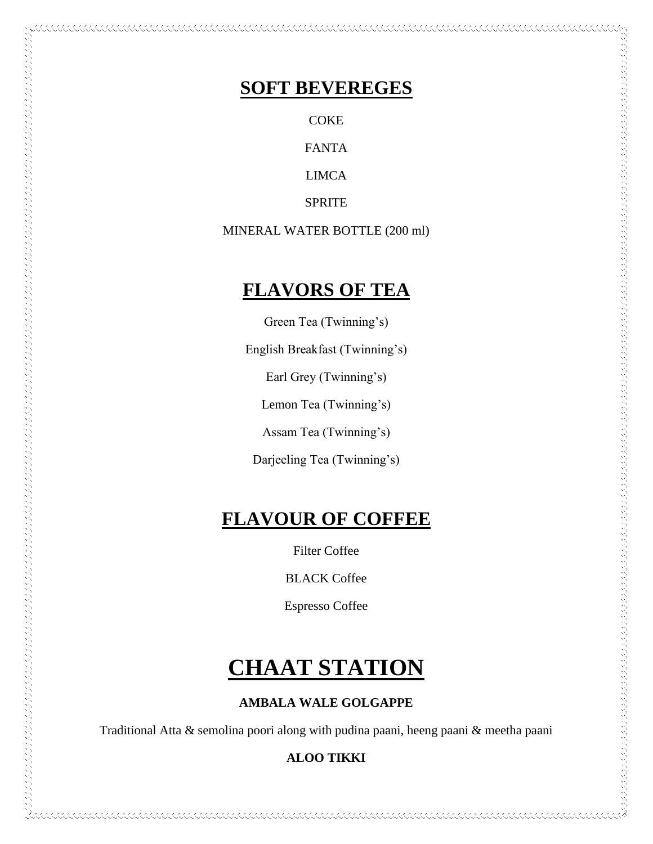### **SOFT BEVEREGES**

**COKE** FANTA

LIMCA

SPRITE

MINERAL WATER BOTTLE (200 ml)

### **FLAVORS OF TEA**

Green Tea (Twinning's)

English Breakfast (Twinning's)

Earl Grey (Twinning's)

Lemon Tea (Twinning's)

Assam Tea (Twinning's)

Darjeeling Tea (Twinning's)

# **FLAVOUR OF COFFEE**

Filter Coffee

BLACK Coffee

Espresso Coffee

# **CHAAT STATION**

### **AMBALA WALE GOLGAPPE**

Traditional Atta & semolina poori along with pudina paani, heeng paani & meetha paani

### **ALOO TIKKI**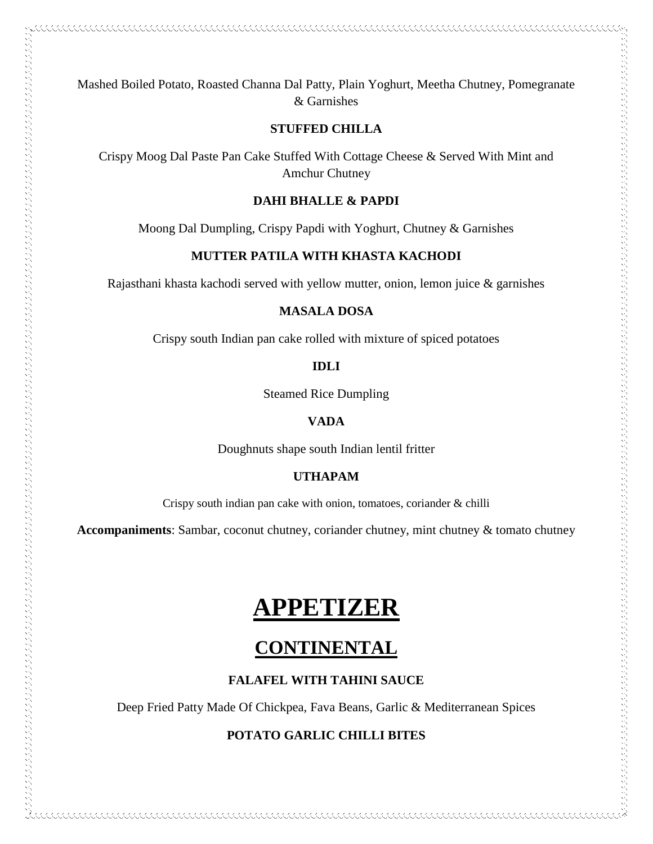Mashed Boiled Potato, Roasted Channa Dal Patty, Plain Yoghurt, Meetha Chutney, Pomegranate & Garnishes

#### **STUFFED CHILLA**

Crispy Moog Dal Paste Pan Cake Stuffed With Cottage Cheese & Served With Mint and Amchur Chutney

#### **DAHI BHALLE & PAPDI**

Moong Dal Dumpling, Crispy Papdi with Yoghurt, Chutney & Garnishes

#### **MUTTER PATILA WITH KHASTA KACHODI**

Rajasthani khasta kachodi served with yellow mutter, onion, lemon juice & garnishes

#### **MASALA DOSA**

Crispy south Indian pan cake rolled with mixture of spiced potatoes

**IDLI**

Steamed Rice Dumpling

#### **VADA**

Doughnuts shape south Indian lentil fritter

#### **UTHAPAM**

Crispy south indian pan cake with onion, tomatoes, coriander & chilli

**Accompaniments**: Sambar, coconut chutney, coriander chutney, mint chutney & tomato chutney

# **APPETIZER**

### **CONTINENTAL**

#### **FALAFEL WITH TAHINI SAUCE**

Deep Fried Patty Made Of Chickpea, Fava Beans, Garlic & Mediterranean Spices

#### **POTATO GARLIC CHILLI BITES**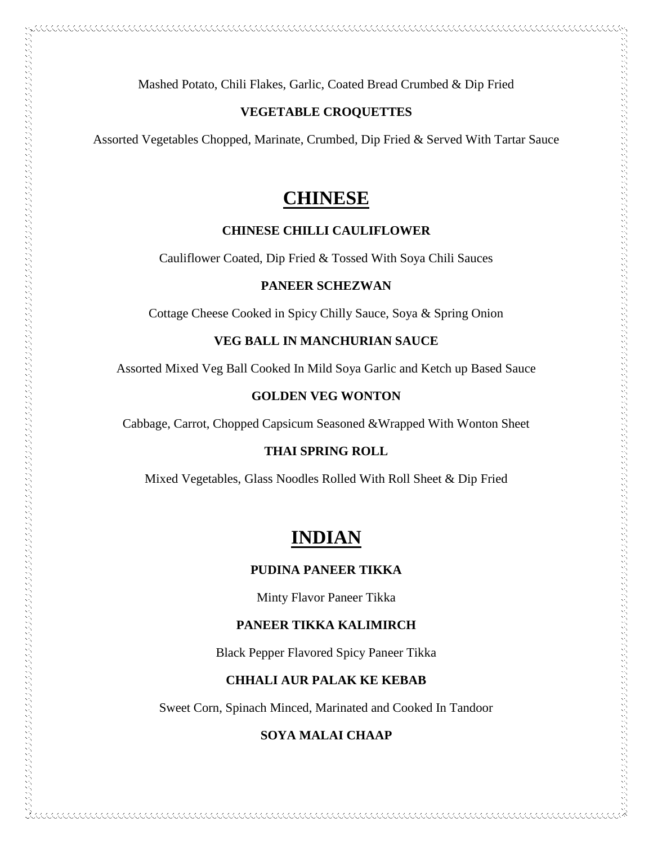Mashed Potato, Chili Flakes, Garlic, Coated Bread Crumbed & Dip Fried

#### **VEGETABLE CROQUETTES**

Assorted Vegetables Chopped, Marinate, Crumbed, Dip Fried & Served With Tartar Sauce

### **CHINESE**

#### **CHINESE CHILLI CAULIFLOWER**

Cauliflower Coated, Dip Fried & Tossed With Soya Chili Sauces

#### **PANEER SCHEZWAN**

Cottage Cheese Cooked in Spicy Chilly Sauce, Soya & Spring Onion

#### **VEG BALL IN MANCHURIAN SAUCE**

Assorted Mixed Veg Ball Cooked In Mild Soya Garlic and Ketch up Based Sauce

#### **GOLDEN VEG WONTON**

Cabbage, Carrot, Chopped Capsicum Seasoned &Wrapped With Wonton Sheet

 $\sim$  and the complete state of the complete state of the complete state of the complete state of the complete state of the complete state of the complete state of the complete state of the complete state of the complete s

#### **THAI SPRING ROLL**

Mixed Vegetables, Glass Noodles Rolled With Roll Sheet & Dip Fried

### **INDIAN**

#### **PUDINA PANEER TIKKA**

Minty Flavor Paneer Tikka

#### **PANEER TIKKA KALIMIRCH**

Black Pepper Flavored Spicy Paneer Tikka

#### **CHHALI AUR PALAK KE KEBAB**

Sweet Corn, Spinach Minced, Marinated and Cooked In Tandoor

#### **SOYA MALAI CHAAP**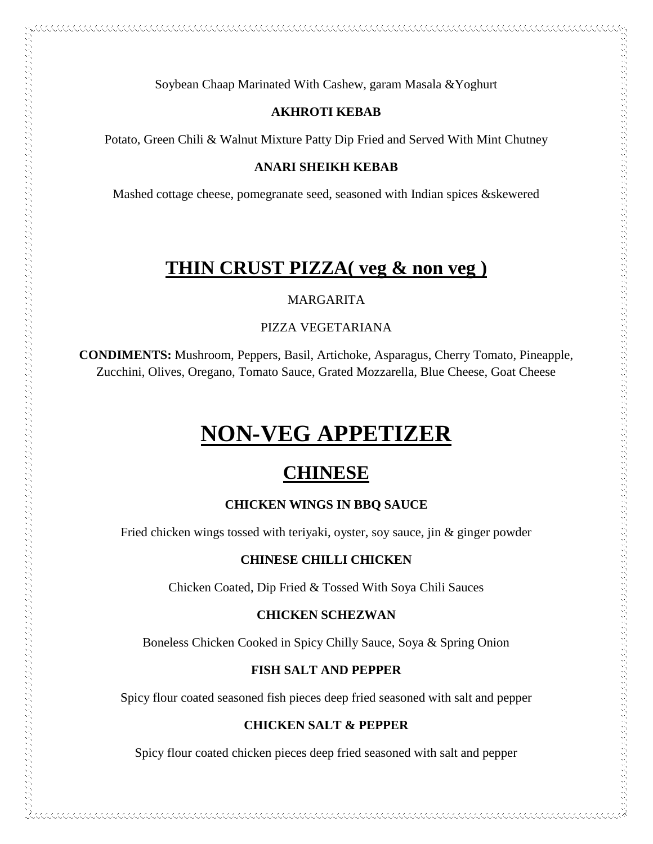Soybean Chaap Marinated With Cashew, garam Masala &Yoghurt

#### **AKHROTI KEBAB**

Potato, Green Chili & Walnut Mixture Patty Dip Fried and Served With Mint Chutney

#### **ANARI SHEIKH KEBAB**

Mashed cottage cheese, pomegranate seed, seasoned with Indian spices &skewered

### **THIN CRUST PIZZA( veg & non veg )**

#### MARGARITA

#### PIZZA VEGETARIANA

**CONDIMENTS:** Mushroom, Peppers, Basil, Artichoke, Asparagus, Cherry Tomato, Pineapple, Zucchini, Olives, Oregano, Tomato Sauce, Grated Mozzarella, Blue Cheese, Goat Cheese

# **NON-VEG APPETIZER**

 $\sim$  and the construction of the construction of the construction of the construction of the construction of the construction of the construction of the construction of the construction of the construction of the construc

### **CHINESE**

#### **CHICKEN WINGS IN BBQ SAUCE**

Fried chicken wings tossed with teriyaki, oyster, soy sauce, jin & ginger powder

#### **CHINESE CHILLI CHICKEN**

Chicken Coated, Dip Fried & Tossed With Soya Chili Sauces

#### **CHICKEN SCHEZWAN**

Boneless Chicken Cooked in Spicy Chilly Sauce, Soya & Spring Onion

#### **FISH SALT AND PEPPER**

Spicy flour coated seasoned fish pieces deep fried seasoned with salt and pepper

#### **CHICKEN SALT & PEPPER**

Spicy flour coated chicken pieces deep fried seasoned with salt and pepper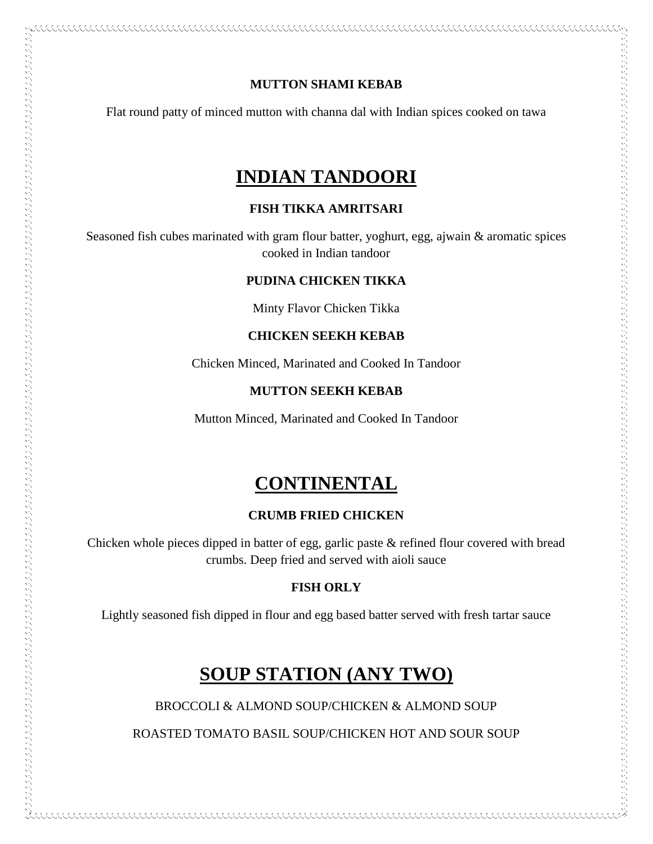#### **MUTTON SHAMI KEBAB**

Flat round patty of minced mutton with channa dal with Indian spices cooked on tawa

### **INDIAN TANDOORI**

#### **FISH TIKKA AMRITSARI**

Seasoned fish cubes marinated with gram flour batter, yoghurt, egg, ajwain & aromatic spices cooked in Indian tandoor

#### **PUDINA CHICKEN TIKKA**

Minty Flavor Chicken Tikka

#### **CHICKEN SEEKH KEBAB**

Chicken Minced, Marinated and Cooked In Tandoor

#### **MUTTON SEEKH KEBAB**

Mutton Minced, Marinated and Cooked In Tandoor

アルティング きょうしょう こうしょう こうこう こうこう こうしょう こうしょう こうしょう こうしょう こうしょう こうしょう こうしょう こうしょう こうしょう こうしょう こうしょう こうしょう こうしょう こうしょう こうしょう こうしょう こうしょう こうしょう こうしょう こうしょう こうしょう こうしょう こうしょう こうしょう こうしょう こうしょうしょう

### **CONTINENTAL**

#### **CRUMB FRIED CHICKEN**

Chicken whole pieces dipped in batter of egg, garlic paste & refined flour covered with bread crumbs. Deep fried and served with aioli sauce

#### **FISH ORLY**

Lightly seasoned fish dipped in flour and egg based batter served with fresh tartar sauce

### **SOUP STATION (ANY TWO)**

BROCCOLI & ALMOND SOUP/CHICKEN & ALMOND SOUP

ROASTED TOMATO BASIL SOUP/CHICKEN HOT AND SOUR SOUP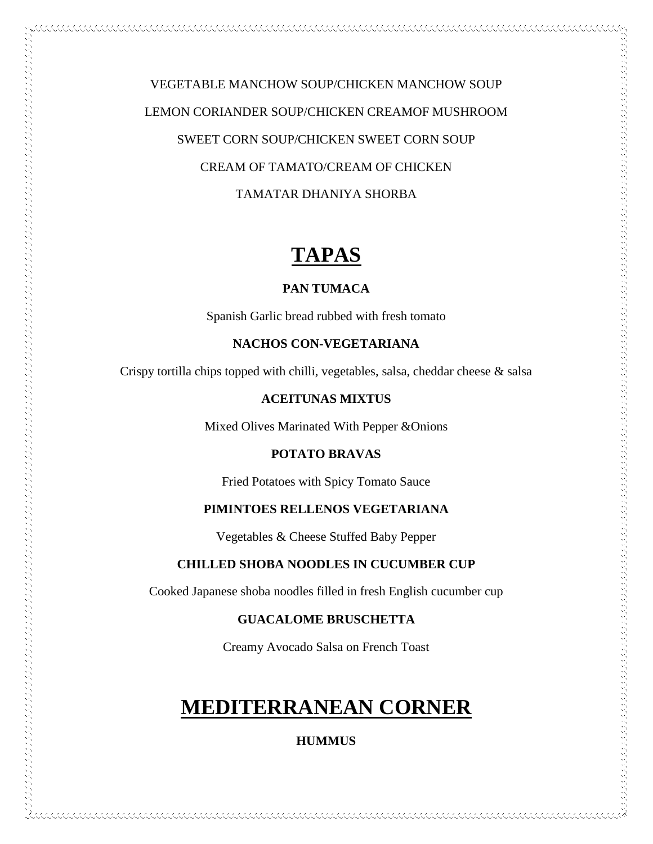VEGETABLE MANCHOW SOUP/CHICKEN MANCHOW SOUP LEMON CORIANDER SOUP/CHICKEN CREAMOF MUSHROOM SWEET CORN SOUP/CHICKEN SWEET CORN SOUP CREAM OF TAMATO/CREAM OF CHICKEN TAMATAR DHANIYA SHORBA

# **TAPAS**

#### **PAN TUMACA**

Spanish Garlic bread rubbed with fresh tomato

#### **NACHOS CON-VEGETARIANA**

Crispy tortilla chips topped with chilli, vegetables, salsa, cheddar cheese & salsa

#### **ACEITUNAS MIXTUS**

Mixed Olives Marinated With Pepper &Onions

アルフィング アンディング アンディング アンディング アンディング アンディング アンディング アンディング アンディング アンディング アンディング アンディング アンディング アンディング アンディング・アンディング アンディング アンディング アンディング アンディング アンディング アンディング アンディング アンディング アンディング アンディング アンディング

#### **POTATO BRAVAS**

Fried Potatoes with Spicy Tomato Sauce

#### **PIMINTOES RELLENOS VEGETARIANA**

Vegetables & Cheese Stuffed Baby Pepper

#### **CHILLED SHOBA NOODLES IN CUCUMBER CUP**

Cooked Japanese shoba noodles filled in fresh English cucumber cup

#### **GUACALOME BRUSCHETTA**

Creamy Avocado Salsa on French Toast

# **MEDITERRANEAN CORNER**

**HUMMUS**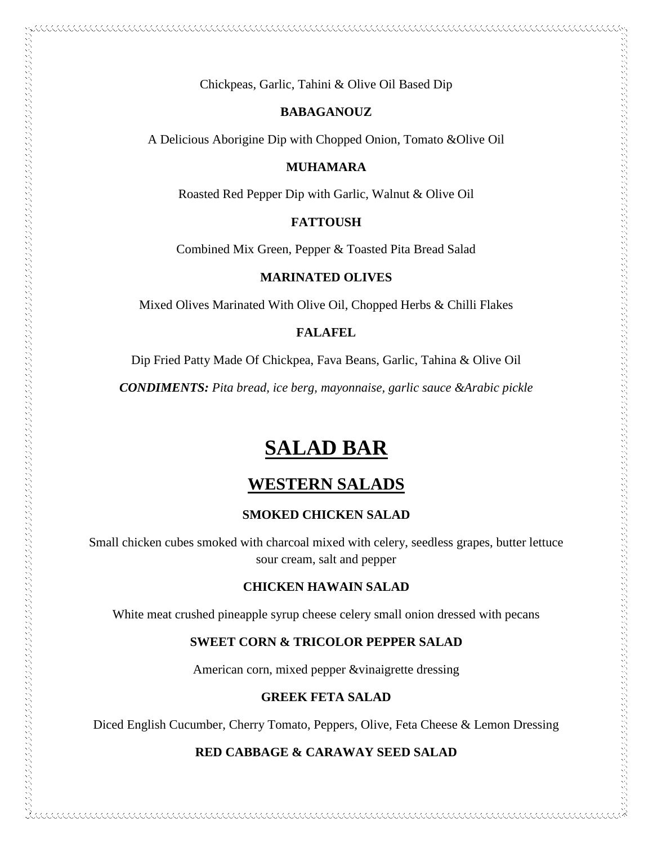Chickpeas, Garlic, Tahini & Olive Oil Based Dip

#### **BABAGANOUZ**

A Delicious Aborigine Dip with Chopped Onion, Tomato &Olive Oil

#### **MUHAMARA**

Roasted Red Pepper Dip with Garlic, Walnut & Olive Oil

#### **FATTOUSH**

Combined Mix Green, Pepper & Toasted Pita Bread Salad

#### **MARINATED OLIVES**

Mixed Olives Marinated With Olive Oil, Chopped Herbs & Chilli Flakes

#### **FALAFEL**

Dip Fried Patty Made Of Chickpea, Fava Beans, Garlic, Tahina & Olive Oil

*CONDIMENTS: Pita bread, ice berg, mayonnaise, garlic sauce &Arabic pickle*

# **SALAD BAR**

### **WESTERN SALADS**

#### **SMOKED CHICKEN SALAD**

Small chicken cubes smoked with charcoal mixed with celery, seedless grapes, butter lettuce sour cream, salt and pepper

#### **CHICKEN HAWAIN SALAD**

White meat crushed pineapple syrup cheese celery small onion dressed with pecans

#### **SWEET CORN & TRICOLOR PEPPER SALAD**

American corn, mixed pepper &vinaigrette dressing

#### **GREEK FETA SALAD**

Diced English Cucumber, Cherry Tomato, Peppers, Olive, Feta Cheese & Lemon Dressing

#### **RED CABBAGE & CARAWAY SEED SALAD**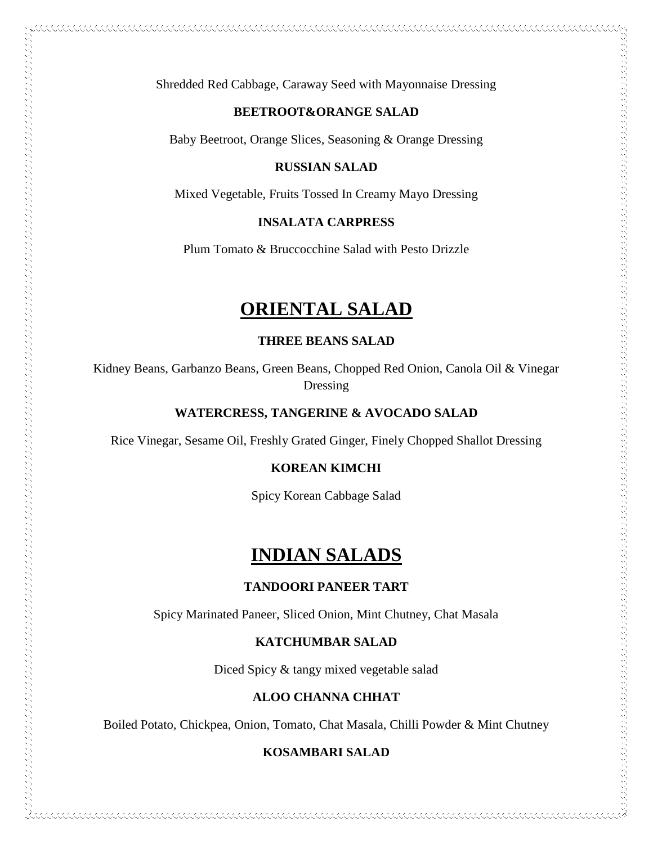Shredded Red Cabbage, Caraway Seed with Mayonnaise Dressing

#### **BEETROOT&ORANGE SALAD**

Baby Beetroot, Orange Slices, Seasoning & Orange Dressing

#### **RUSSIAN SALAD**

Mixed Vegetable, Fruits Tossed In Creamy Mayo Dressing

#### **INSALATA CARPRESS**

Plum Tomato & Bruccocchine Salad with Pesto Drizzle

### **ORIENTAL SALAD**

#### **THREE BEANS SALAD**

Kidney Beans, Garbanzo Beans, Green Beans, Chopped Red Onion, Canola Oil & Vinegar Dressing

#### **WATERCRESS, TANGERINE & AVOCADO SALAD**

Rice Vinegar, Sesame Oil, Freshly Grated Ginger, Finely Chopped Shallot Dressing

#### **KOREAN KIMCHI**

Spicy Korean Cabbage Salad

### **INDIAN SALADS**

#### **TANDOORI PANEER TART**

Spicy Marinated Paneer, Sliced Onion, Mint Chutney, Chat Masala

#### **KATCHUMBAR SALAD**

Diced Spicy & tangy mixed vegetable salad

#### **ALOO CHANNA CHHAT**

Boiled Potato, Chickpea, Onion, Tomato, Chat Masala, Chilli Powder & Mint Chutney

#### **KOSAMBARI SALAD**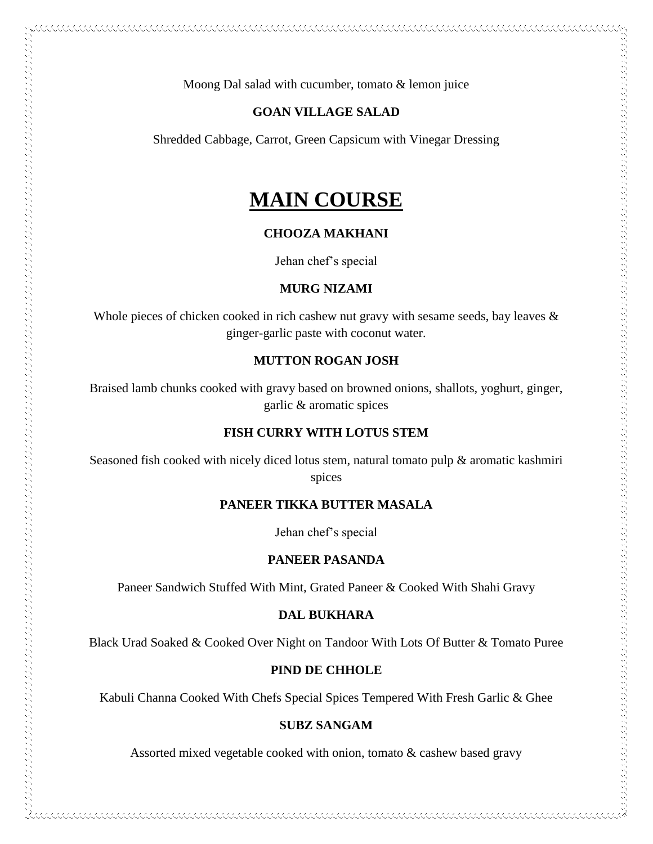Moong Dal salad with cucumber, tomato & lemon juice

#### **GOAN VILLAGE SALAD**

Shredded Cabbage, Carrot, Green Capsicum with Vinegar Dressing

## **MAIN COURSE**

#### **CHOOZA MAKHANI**

Jehan chef's special

#### **MURG NIZAMI**

Whole pieces of chicken cooked in rich cashew nut gravy with sesame seeds, bay leaves & ginger-garlic paste with coconut water.

#### **MUTTON ROGAN JOSH**

Braised lamb chunks cooked with gravy based on browned onions, shallots, yoghurt, ginger, garlic & aromatic spices

#### **FISH CURRY WITH LOTUS STEM**

Seasoned fish cooked with nicely diced lotus stem, natural tomato pulp & aromatic kashmiri spices

#### **PANEER TIKKA BUTTER MASALA**

Jehan chef's special

#### **PANEER PASANDA**

Paneer Sandwich Stuffed With Mint, Grated Paneer & Cooked With Shahi Gravy

#### **DAL BUKHARA**

Black Urad Soaked & Cooked Over Night on Tandoor With Lots Of Butter & Tomato Puree

#### **PIND DE CHHOLE**

Kabuli Channa Cooked With Chefs Special Spices Tempered With Fresh Garlic & Ghee

#### **SUBZ SANGAM**

Assorted mixed vegetable cooked with onion, tomato & cashew based gravy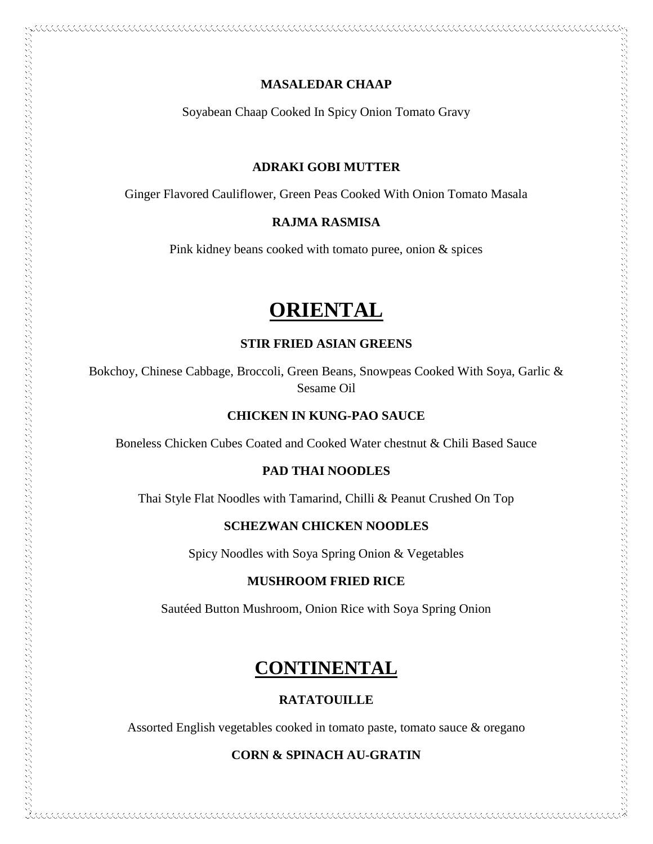#### **MASALEDAR CHAAP**

Soyabean Chaap Cooked In Spicy Onion Tomato Gravy

#### **ADRAKI GOBI MUTTER**

Ginger Flavored Cauliflower, Green Peas Cooked With Onion Tomato Masala

#### **RAJMA RASMISA**

Pink kidney beans cooked with tomato puree, onion & spices

# **ORIENTAL**

#### **STIR FRIED ASIAN GREENS**

Bokchoy, Chinese Cabbage, Broccoli, Green Beans, Snowpeas Cooked With Soya, Garlic & Sesame Oil

#### **CHICKEN IN KUNG-PAO SAUCE**

アルフィング アイディング アイディング アイディング アイディング アイディング アイディング アイディング アイディング アイディング アイディング アイディング アイディング アイディング アイディング アイディング アイディング アイディング アイディング アイディング アイディング アイディング アイディング アイディング アイディング アイディング アイディング アイディング アイディング アイディング アイディング アイディ

Boneless Chicken Cubes Coated and Cooked Water chestnut & Chili Based Sauce

#### **PAD THAI NOODLES**

Thai Style Flat Noodles with Tamarind, Chilli & Peanut Crushed On Top

#### **SCHEZWAN CHICKEN NOODLES**

Spicy Noodles with Soya Spring Onion & Vegetables

#### **MUSHROOM FRIED RICE**

Sautéed Button Mushroom, Onion Rice with Soya Spring Onion

### **CONTINENTAL**

#### **RATATOUILLE**

Assorted English vegetables cooked in tomato paste, tomato sauce & oregano

#### **CORN & SPINACH AU-GRATIN**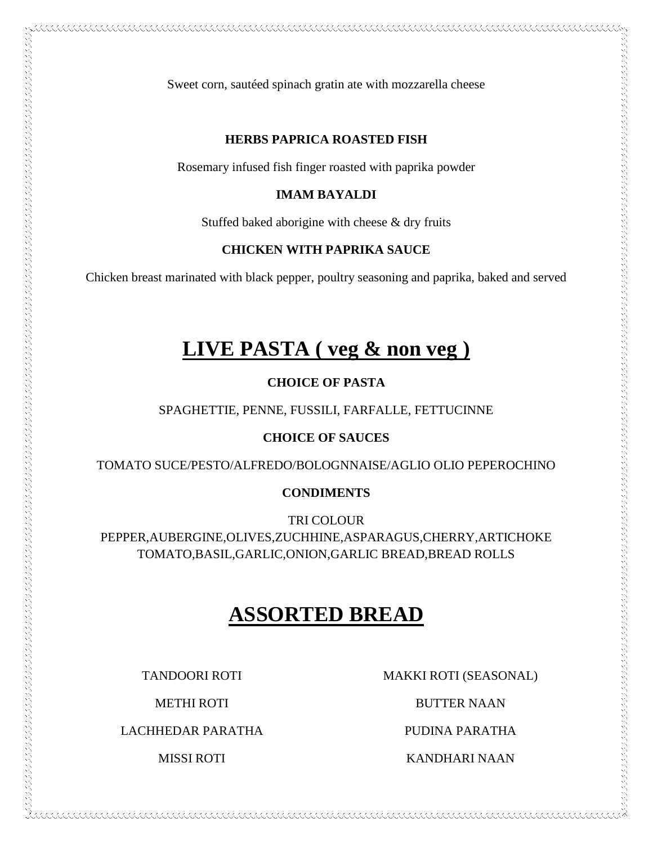#### **HERBS PAPRICA ROASTED FISH**

Rosemary infused fish finger roasted with paprika powder

#### **IMAM BAYALDI**

Stuffed baked aborigine with cheese & dry fruits

#### **CHICKEN WITH PAPRIKA SAUCE**

Chicken breast marinated with black pepper, poultry seasoning and paprika, baked and served

# **LIVE PASTA ( veg & non veg )**

#### **CHOICE OF PASTA**

SPAGHETTIE, PENNE, FUSSILI, FARFALLE, FETTUCINNE

#### **CHOICE OF SAUCES**

TOMATO SUCE/PESTO/ALFREDO/BOLOGNNAISE/AGLIO OLIO PEPEROCHINO

#### **CONDIMENTS**

TRI COLOUR PEPPER,AUBERGINE,OLIVES,ZUCHHINE,ASPARAGUS,CHERRY,ARTICHOKE TOMATO,BASIL,GARLIC,ONION,GARLIC BREAD,BREAD ROLLS

# **ASSORTED BREAD**

TANDOORI ROTI

METHI ROTI

LACHHEDAR PARATHA

MISSI ROTI

MAKKI ROTI (SEASONAL)

BUTTER NAAN

PUDINA PARATHA

KANDHARI NAAN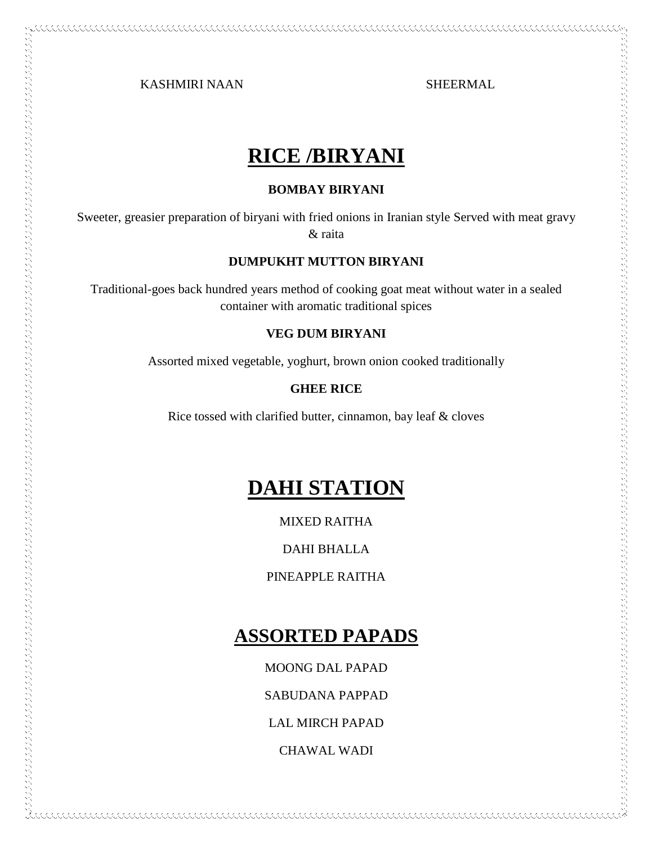KASHMIRI NAAN SHEERMAL

# **RICE /BIRYANI**

#### **BOMBAY BIRYANI**

Sweeter, greasier preparation of biryani with fried onions in Iranian style Served with meat gravy & raita

#### **DUMPUKHT MUTTON BIRYANI**

Traditional-goes back hundred years method of cooking goat meat without water in a sealed container with aromatic traditional spices

#### **VEG DUM BIRYANI**

Assorted mixed vegetable, yoghurt, brown onion cooked traditionally

#### **GHEE RICE**

Rice tossed with clarified butter, cinnamon, bay leaf & cloves

# **DAHI STATION**

MIXED RAITHA

DAHI BHALLA

PINEAPPLE RAITHA

### **ASSORTED PAPADS**

MOONG DAL PAPAD

SABUDANA PAPPAD

LAL MIRCH PAPAD

CHAWAL WADI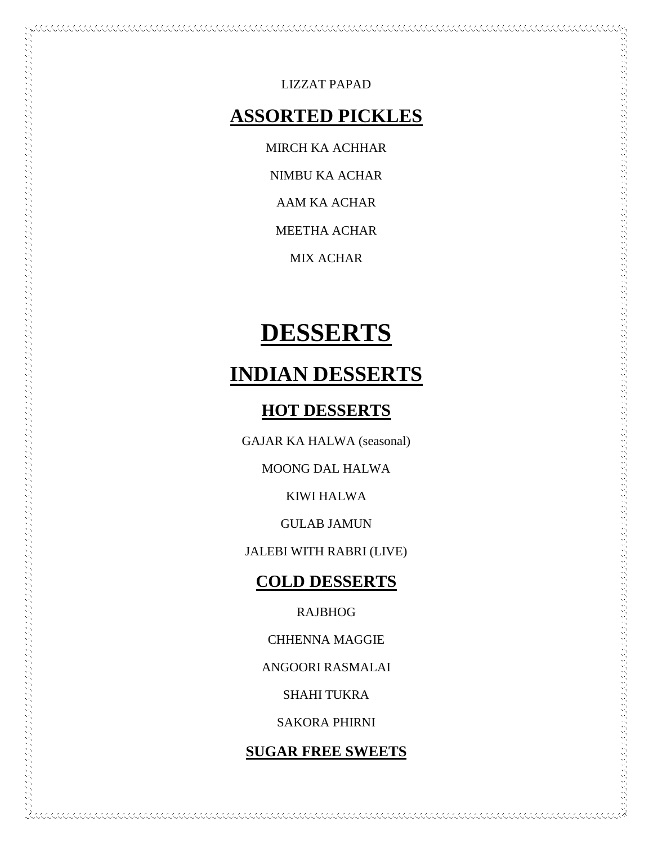LIZZAT PAPAD

### **ASSORTED PICKLES**

MIRCH KA ACHHAR

NIMBU KA ACHAR

AAM KA ACHAR

MEETHA ACHAR

MIX ACHAR

# **DESSERTS**

# **INDIAN DESSERTS**

### **HOT DESSERTS**

GAJAR KA HALWA (seasonal)

MOONG DAL HALWA

KIWI HALWA

GULAB JAMUN

JALEBI WITH RABRI (LIVE)

### **COLD DESSERTS**

RAJBHOG

CHHENNA MAGGIE

ANGOORI RASMALAI

SHAHI TUKRA

SAKORA PHIRNI

**SUGAR FREE SWEETS**

KKKKKKKKKKKKKKKKKKKKKKKKKKKKKKKK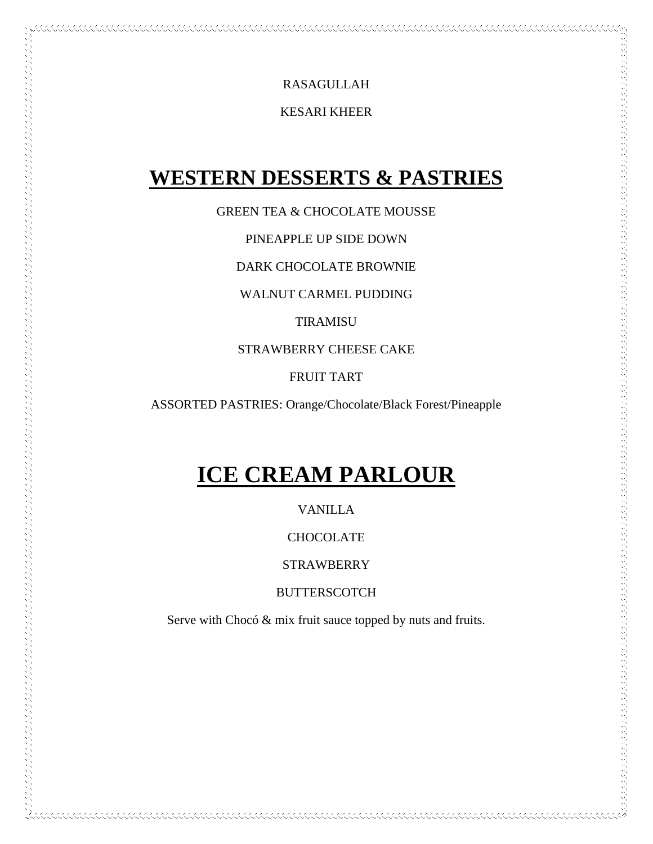RASAGULLAH

<u> COOLOGO COOLOGO CO</u>

KESARI KHEER

# **WESTERN DESSERTS & PASTRIES**

GREEN TEA & CHOCOLATE MOUSSE

PINEAPPLE UP SIDE DOWN

DARK CHOCOLATE BROWNIE

WALNUT CARMEL PUDDING

TIRAMISU

STRAWBERRY CHEESE CAKE

FRUIT TART

ASSORTED PASTRIES: Orange/Chocolate/Black Forest/Pineapple

# **ICE CREAM PARLOUR**

VANILLA

**CHOCOLATE** 

**STRAWBERRY** 

**BUTTERSCOTCH** 

Serve with Chocó & mix fruit sauce topped by nuts and fruits.